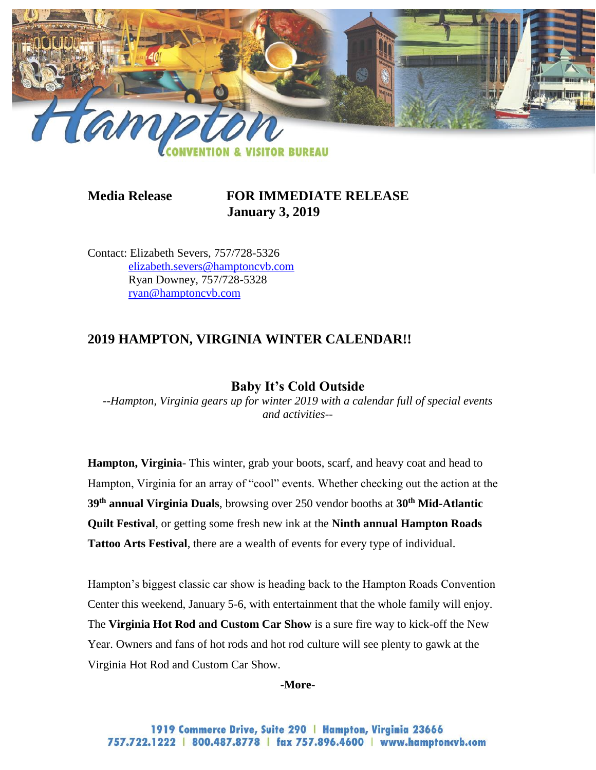

# **Media Release FOR IMMEDIATE RELEASE January 3, 2019**

Contact: Elizabeth Severs, 757/728-5326 [elizabeth.severs@hamptoncvb.com](mailto:elizabeth.severs@hamptoncvb.com) Ryan Downey, 757/728-5328 [ryan@hamptoncvb.com](mailto:ryan@hamptoncvb.com)

# **2019 HAMPTON, VIRGINIA WINTER CALENDAR!!**

## **Baby It's Cold Outside**

*--Hampton, Virginia gears up for winter 2019 with a calendar full of special events and activities--*

**Hampton, Virginia**- This winter, grab your boots, scarf, and heavy coat and head to Hampton, Virginia for an array of "cool" events. Whether checking out the action at the **39th annual Virginia Duals**, browsing over 250 vendor booths at **30th Mid-Atlantic Quilt Festival**, or getting some fresh new ink at the **Ninth annual Hampton Roads Tattoo Arts Festival**, there are a wealth of events for every type of individual.

Hampton's biggest classic car show is heading back to the Hampton Roads Convention Center this weekend, January 5-6, with entertainment that the whole family will enjoy. The **Virginia Hot Rod and Custom Car Show** is a sure fire way to kick-off the New Year. Owners and fans of hot rods and hot rod culture will see plenty to gawk at the Virginia Hot Rod and Custom Car Show.

**-More-**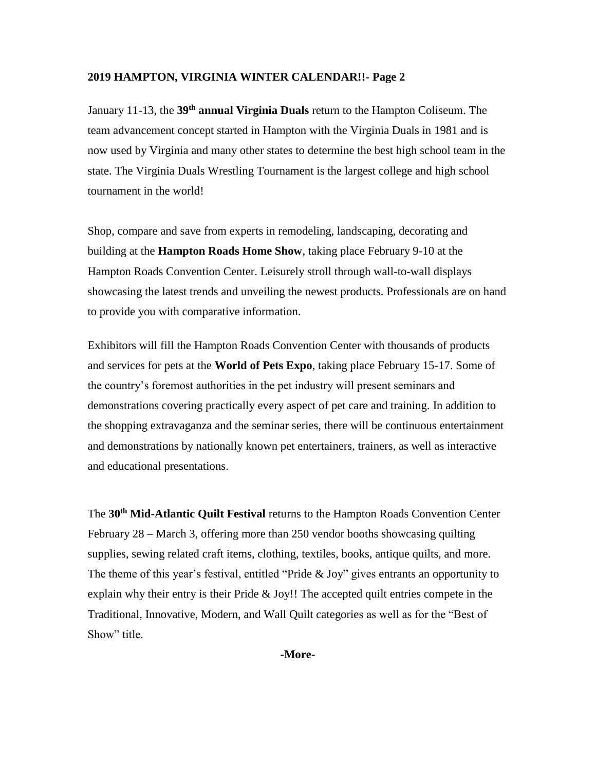January 11-13, the **39th annual Virginia Duals** return to the Hampton Coliseum. The team advancement concept started in Hampton with the Virginia Duals in 1981 and is now used by Virginia and many other states to determine the best high school team in the state. The Virginia Duals Wrestling Tournament is the largest college and high school tournament in the world!

Shop, compare and save from experts in remodeling, landscaping, decorating and building at the **Hampton Roads Home Show**, taking place February 9-10 at the Hampton Roads Convention Center. Leisurely stroll through wall-to-wall displays showcasing the latest trends and unveiling the newest products. Professionals are on hand to provide you with comparative information.

Exhibitors will fill the Hampton Roads Convention Center with thousands of products and services for pets at the **World of Pets Expo**, taking place February 15-17. Some of the country's foremost authorities in the pet industry will present seminars and demonstrations covering practically every aspect of pet care and training. In addition to the shopping extravaganza and the seminar series, there will be continuous entertainment and demonstrations by nationally known pet entertainers, trainers, as well as interactive and educational presentations.

The **30th Mid-Atlantic Quilt Festival** returns to the Hampton Roads Convention Center February 28 – March 3, offering more than 250 vendor booths showcasing quilting supplies, sewing related craft items, clothing, textiles, books, antique quilts, and more. The theme of this year's festival, entitled "Pride & Joy" gives entrants an opportunity to explain why their entry is their Pride & Joy!! The accepted quilt entries compete in the Traditional, Innovative, Modern, and Wall Quilt categories as well as for the "Best of Show" title.

**-More-**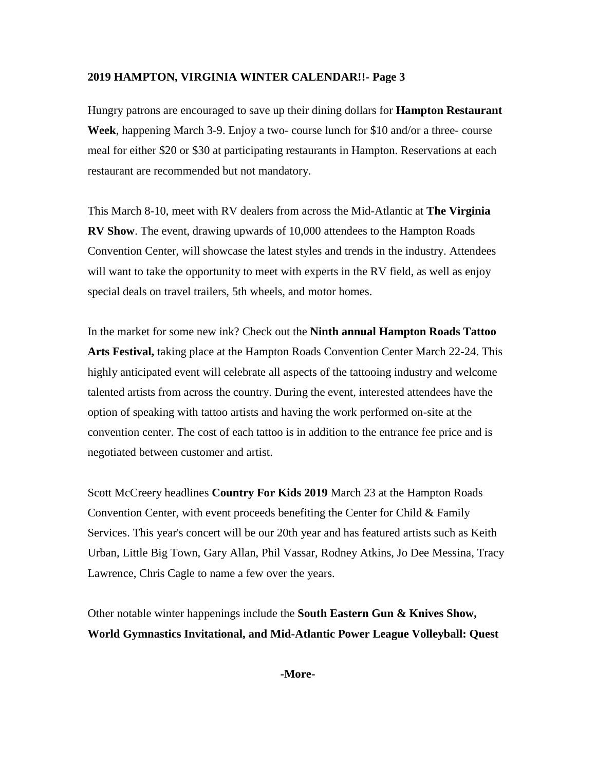Hungry patrons are encouraged to save up their dining dollars for **Hampton Restaurant Week**, happening March 3-9. Enjoy a two- course lunch for \$10 and/or a three- course meal for either \$20 or \$30 at participating restaurants in Hampton. Reservations at each restaurant are recommended but not mandatory.

This March 8-10, meet with RV dealers from across the Mid-Atlantic at **The Virginia RV Show**. The event, drawing upwards of 10,000 attendees to the Hampton Roads Convention Center, will showcase the latest styles and trends in the industry. Attendees will want to take the opportunity to meet with experts in the RV field, as well as enjoy special deals on travel trailers, 5th wheels, and motor homes.

In the market for some new ink? Check out the **Ninth annual Hampton Roads Tattoo Arts Festival,** taking place at the Hampton Roads Convention Center March 22-24. This highly anticipated event will celebrate all aspects of the tattooing industry and welcome talented artists from across the country. During the event, interested attendees have the option of speaking with tattoo artists and having the work performed on-site at the convention center. The cost of each tattoo is in addition to the entrance fee price and is negotiated between customer and artist.

Scott McCreery headlines **Country For Kids 2019** March 23 at the Hampton Roads Convention Center, with event proceeds benefiting the Center for Child & Family Services. This year's concert will be our 20th year and has featured artists such as Keith Urban, Little Big Town, Gary Allan, Phil Vassar, Rodney Atkins, Jo Dee Messina, Tracy Lawrence, Chris Cagle to name a few over the years.

Other notable winter happenings include the **South Eastern Gun & Knives Show, World Gymnastics Invitational, and Mid-Atlantic Power League Volleyball: Quest** 

**-More-**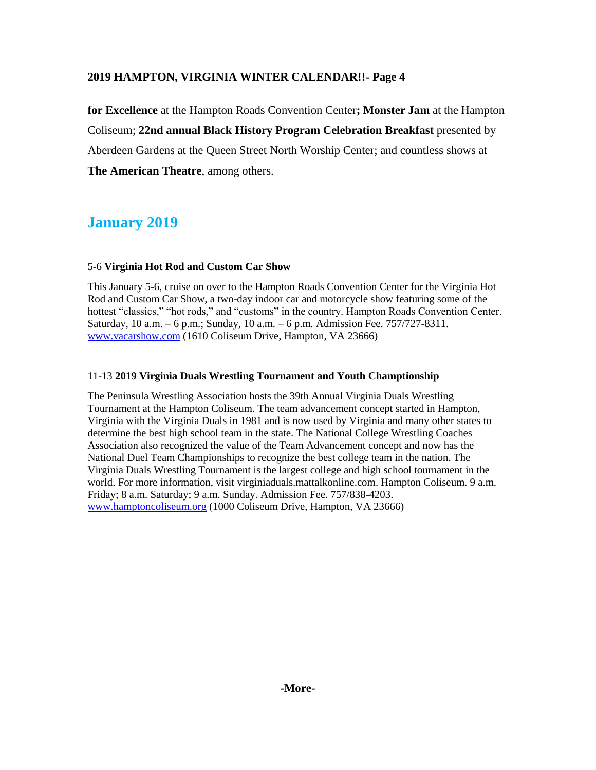**for Excellence** at the Hampton Roads Convention Center**; Monster Jam** at the Hampton Coliseum; **22nd annual Black History Program Celebration Breakfast** presented by Aberdeen Gardens at the Queen Street North Worship Center; and countless shows at **The American Theatre**, among others.

# **January 2019**

## 5-6 **Virginia Hot Rod and Custom Car Show**

This January 5-6, cruise on over to the Hampton Roads Convention Center for the Virginia Hot Rod and Custom Car Show, a two-day indoor car and motorcycle show featuring some of the hottest "classics," "hot rods," and "customs" in the country. Hampton Roads Convention Center. Saturday, 10 a.m. – 6 p.m.; Sunday, 10 a.m. – 6 p.m. Admission Fee. 757/727-8311. [www.vacarshow.com](http://www.vacarshow.com/) (1610 Coliseum Drive, Hampton, VA 23666)

## 11-13 **2019 Virginia Duals Wrestling Tournament and Youth Champtionship**

The Peninsula Wrestling Association hosts the 39th Annual Virginia Duals Wrestling Tournament at the Hampton Coliseum. The team advancement concept started in Hampton, Virginia with the Virginia Duals in 1981 and is now used by Virginia and many other states to determine the best high school team in the state. The National College Wrestling Coaches Association also recognized the value of the Team Advancement concept and now has the National Duel Team Championships to recognize the best college team in the nation. The Virginia Duals Wrestling Tournament is the largest college and high school tournament in the world. For more information, visit virginiaduals.mattalkonline.com. Hampton Coliseum. 9 a.m. Friday; 8 a.m. Saturday; 9 a.m. Sunday. Admission Fee. 757/838-4203. [www.hamptoncoliseum.org](http://www.hamptoncoliseum.org/) (1000 Coliseum Drive, Hampton, VA 23666)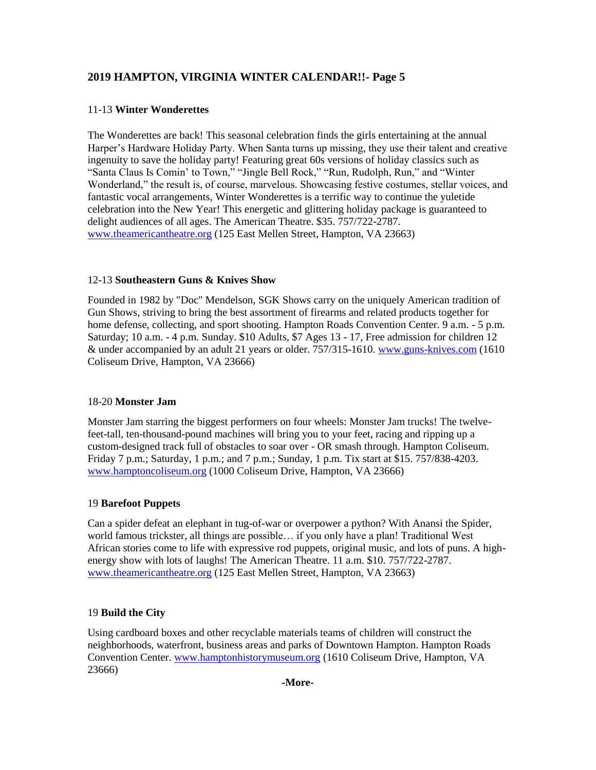## 11-13 **Winter Wonderettes**

The Wonderettes are back! This seasonal celebration finds the girls entertaining at the annual Harper's Hardware Holiday Party. When Santa turns up missing, they use their talent and creative ingenuity to save the holiday party! Featuring great 60s versions of holiday classics such as "Santa Claus Is Comin' to Town," "Jingle Bell Rock," "Run, Rudolph, Run," and "Winter Wonderland," the result is, of course, marvelous. Showcasing festive costumes, stellar voices, and fantastic vocal arrangements, Winter Wonderettes is a terrific way to continue the yuletide celebration into the New Year! This energetic and glittering holiday package is guaranteed to delight audiences of all ages. The American Theatre. \$35. 757/722-2787. [www.theamericantheatre.org](http://www.theamericantheatre.org/) (125 East Mellen Street, Hampton, VA 23663)

## 12-13 **Southeastern Guns & Knives Show**

Founded in 1982 by "Doc" Mendelson, SGK Shows carry on the uniquely American tradition of Gun Shows, striving to bring the best assortment of firearms and related products together for home defense, collecting, and sport shooting. Hampton Roads Convention Center. 9 a.m. - 5 p.m. Saturday; 10 a.m. - 4 p.m. Sunday. \$10 Adults, \$7 Ages 13 - 17, Free admission for children 12 & under accompanied by an adult 21 years or older. 757/315-1610. [www.guns-knives.com](http://www.guns-knives.comn/) (1610 Coliseum Drive, Hampton, VA 23666)

## 18-20 **Monster Jam**

Monster Jam starring the biggest performers on four wheels: Monster Jam trucks! The twelvefeet-tall, ten-thousand-pound machines will bring you to your feet, racing and ripping up a custom-designed track full of obstacles to soar over - OR smash through. Hampton Coliseum. Friday 7 p.m.; Saturday, 1 p.m.; and 7 p.m.; Sunday, 1 p.m. Tix start at \$15. 757/838-4203. [www.hamptoncoliseum.org](http://www.hamptoncoliseum.org/) (1000 Coliseum Drive, Hampton, VA 23666)

### 19 **Barefoot Puppets**

Can a spider defeat an elephant in tug-of-war or overpower a python? With Anansi the Spider, world famous trickster, all things are possible… if you only have a plan! Traditional West African stories come to life with expressive rod puppets, original music, and lots of puns. A highenergy show with lots of laughs! The American Theatre. 11 a.m. \$10. 757/722-2787. [www.theamericantheatre.org](http://www.theamericantheatre.org/) (125 East Mellen Street, Hampton, VA 23663)

## 19 **Build the City**

Using cardboard boxes and other recyclable materials teams of children will construct the neighborhoods, waterfront, business areas and parks of Downtown Hampton. Hampton Roads Convention Center. [www.hamptonhistorymuseum.org](http://www.hamptonhistorymuseum.org/) (1610 Coliseum Drive, Hampton, VA 23666)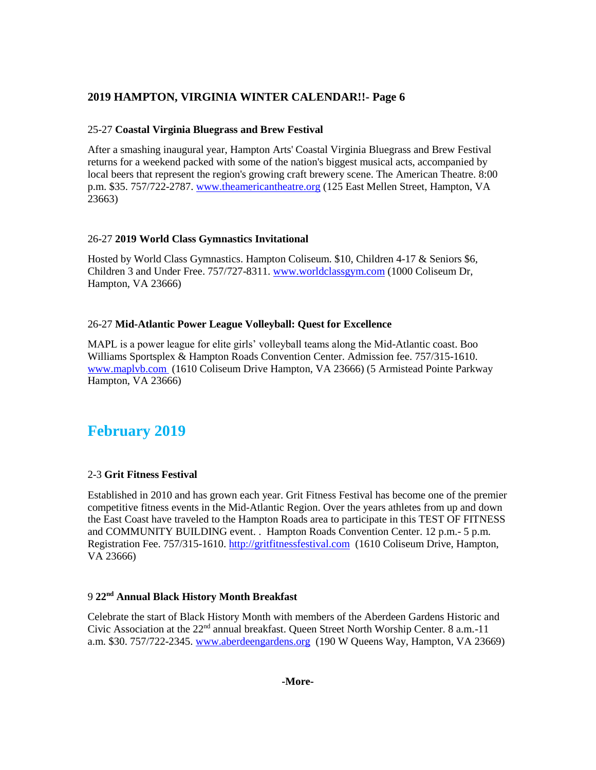#### 25-27 **Coastal Virginia Bluegrass and Brew Festival**

After a smashing inaugural year, Hampton Arts' Coastal Virginia Bluegrass and Brew Festival returns for a weekend packed with some of the nation's biggest musical acts, accompanied by local beers that represent the region's growing craft brewery scene. The American Theatre. 8:00 p.m. \$35. 757/722-2787. [www.theamericantheatre.org](http://www.theamericantheatre.org/) (125 East Mellen Street, Hampton, VA 23663)

#### 26-27 **2019 World Class Gymnastics Invitational**

Hosted by World Class Gymnastics. Hampton Coliseum. \$10, Children 4-17 & Seniors \$6, Children 3 and Under Free. 757/727-8311. [www.worldclassgym.com](http://www.worldclassgym.com/) (1000 Coliseum Dr, Hampton, VA 23666)

## 26-27 **Mid-Atlantic Power League Volleyball: Quest for Excellence**

MAPL is a power league for elite girls' volleyball teams along the Mid-Atlantic coast. Boo Williams Sportsplex & Hampton Roads Convention Center. Admission fee. 757/315-1610. [www.maplvb.com](http://www.maplvb.com/) (1610 Coliseum Drive Hampton, VA 23666) (5 Armistead Pointe Parkway Hampton, VA 23666)

# **February 2019**

## 2-3 **Grit Fitness Festival**

Established in 2010 and has grown each year. Grit Fitness Festival has become one of the premier competitive fitness events in the Mid-Atlantic Region. Over the years athletes from up and down the East Coast have traveled to the Hampton Roads area to participate in this TEST OF FITNESS and COMMUNITY BUILDING event. . Hampton Roads Convention Center. 12 p.m.- 5 p.m. Registration Fee. 757/315-1610. [http://gritfitnessfestival.com](http://gritfitnessfestival.com/) (1610 Coliseum Drive, Hampton, VA 23666)

#### 9 **22nd Annual Black History Month Breakfast**

Celebrate the start of Black History Month with members of the Aberdeen Gardens Historic and Civic Association at the  $22<sup>nd</sup>$  annual breakfast. Oueen Street North Worship Center. 8 a.m.-11 a.m. \$30. 757/722-2345. [www.aberdeengardens.org](http://www.aberdeengardens.org/) (190 W Queens Way, Hampton, VA 23669)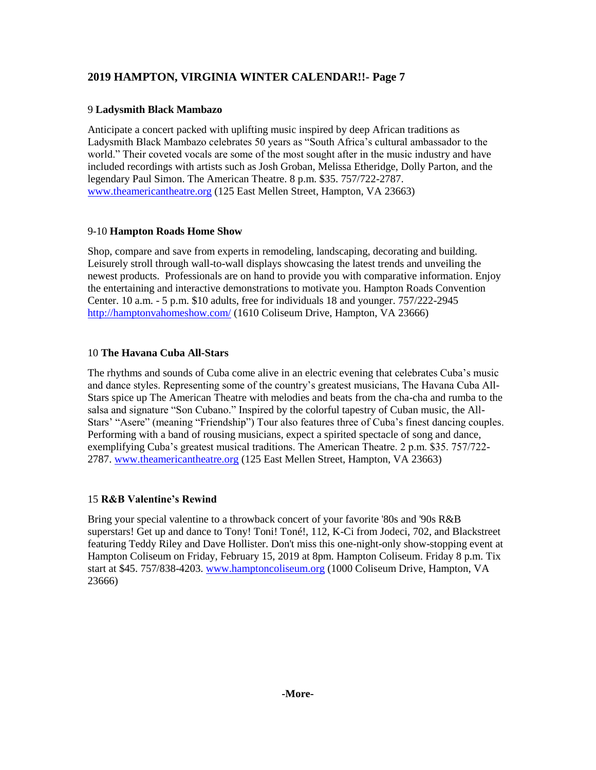## 9 **Ladysmith Black Mambazo**

Anticipate a concert packed with uplifting music inspired by deep African traditions as Ladysmith Black Mambazo celebrates 50 years as "South Africa's cultural ambassador to the world." Their coveted vocals are some of the most sought after in the music industry and have included recordings with artists such as Josh Groban, Melissa Etheridge, Dolly Parton, and the legendary Paul Simon. The American Theatre. 8 p.m. \$35. 757/722-2787. [www.theamericantheatre.org](http://www.theamericantheatre.org/) (125 East Mellen Street, Hampton, VA 23663)

## 9-10 **Hampton Roads Home Show**

Shop, compare and save from experts in remodeling, landscaping, decorating and building. Leisurely stroll through wall-to-wall displays showcasing the latest trends and unveiling the newest products. Professionals are on hand to provide you with comparative information. Enjoy the entertaining and interactive demonstrations to motivate you. Hampton Roads Convention Center. 10 a.m. - 5 p.m. \$10 adults, free for individuals 18 and younger. 757/222-2945 <http://hamptonvahomeshow.com/> (1610 Coliseum Drive, Hampton, VA 23666)

## 10 **The Havana Cuba All-Stars**

The rhythms and sounds of Cuba come alive in an electric evening that celebrates Cuba's music and dance styles. Representing some of the country's greatest musicians, The Havana Cuba All-Stars spice up The American Theatre with melodies and beats from the cha-cha and rumba to the salsa and signature "Son Cubano." Inspired by the colorful tapestry of Cuban music, the All-Stars' "Asere" (meaning "Friendship") Tour also features three of Cuba's finest dancing couples. Performing with a band of rousing musicians, expect a spirited spectacle of song and dance, exemplifying Cuba's greatest musical traditions. The American Theatre. 2 p.m. \$35. 757/722- 2787. [www.theamericantheatre.org](http://www.theamericantheatre.org/) (125 East Mellen Street, Hampton, VA 23663)

## 15 **R&B Valentine's Rewind**

Bring your special valentine to a throwback concert of your favorite '80s and '90s R&B superstars! Get up and dance to Tony! Toni! Toné!, 112, K-Ci from Jodeci, 702, and Blackstreet featuring Teddy Riley and Dave Hollister. Don't miss this one-night-only show-stopping event at Hampton Coliseum on Friday, February 15, 2019 at 8pm. Hampton Coliseum. Friday 8 p.m. Tix start at \$45. 757/838-4203. [www.hamptoncoliseum.org](http://www.hamptoncoliseum.org/) (1000 Coliseum Drive, Hampton, VA 23666)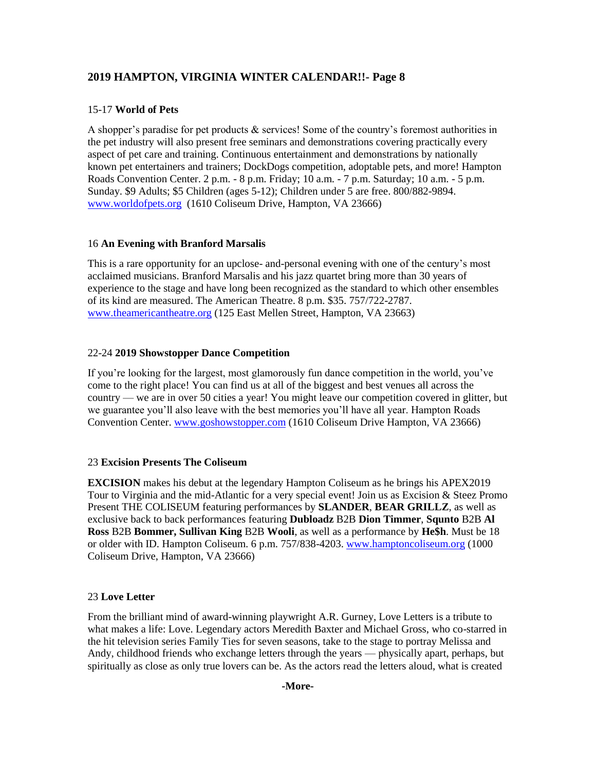## 15-17 **World of Pets**

A shopper's paradise for pet products & services! Some of the country's foremost authorities in the pet industry will also present free seminars and demonstrations covering practically every aspect of pet care and training. Continuous entertainment and demonstrations by nationally known pet entertainers and trainers; DockDogs competition, adoptable pets, and more! Hampton Roads Convention Center. 2 p.m. - 8 p.m. Friday; 10 a.m. - 7 p.m. Saturday; 10 a.m. - 5 p.m. Sunday. \$9 Adults; \$5 Children (ages 5-12); Children under 5 are free. 800/882-9894. [www.worldofpets.org](http://www.worldofpets.org/) (1610 Coliseum Drive, Hampton, VA 23666)

## 16 **An Evening with Branford Marsalis**

This is a rare opportunity for an upclose- and-personal evening with one of the century's most acclaimed musicians. Branford Marsalis and his jazz quartet bring more than 30 years of experience to the stage and have long been recognized as the standard to which other ensembles of its kind are measured. The American Theatre. 8 p.m. \$35. 757/722-2787. [www.theamericantheatre.org](http://www.theamericantheatre.org/) (125 East Mellen Street, Hampton, VA 23663)

## 22-24 **2019 Showstopper Dance Competition**

If you're looking for the largest, most glamorously fun dance competition in the world, you've come to the right place! You can find us at all of the biggest and best venues all across the country — we are in over 50 cities a year! You might leave our competition covered in glitter, but we guarantee you'll also leave with the best memories you'll have all year. Hampton Roads Convention Center. [www.goshowstopper.com](http://www.goshowstopper.com/) (1610 Coliseum Drive Hampton, VA 23666)

## 23 **Excision Presents The Coliseum**

**EXCISION** makes his debut at the legendary Hampton Coliseum as he brings his APEX2019 Tour to Virginia and the mid-Atlantic for a very special event! Join us as Excision & Steez Promo Present THE COLISEUM featuring performances by **SLANDER**, **BEAR GRILLZ**, as well as exclusive back to back performances featuring **Dubloadz** B2B **Dion Timmer**, **Squnto** B2B **Al Ross** B2B **Bommer, Sullivan King** B2B **Wooli**, as well as a performance by **He\$h**. Must be 18 or older with ID. Hampton Coliseum. 6 p.m. 757/838-4203. [www.hamptoncoliseum.org](http://www.hamptoncoliseum.org/) (1000 Coliseum Drive, Hampton, VA 23666)

## 23 **Love Letter**

From the brilliant mind of award-winning playwright A.R. Gurney, Love Letters is a tribute to what makes a life: Love. Legendary actors Meredith Baxter and Michael Gross, who co-starred in the hit television series Family Ties for seven seasons, take to the stage to portray Melissa and Andy, childhood friends who exchange letters through the years — physically apart, perhaps, but spiritually as close as only true lovers can be. As the actors read the letters aloud, what is created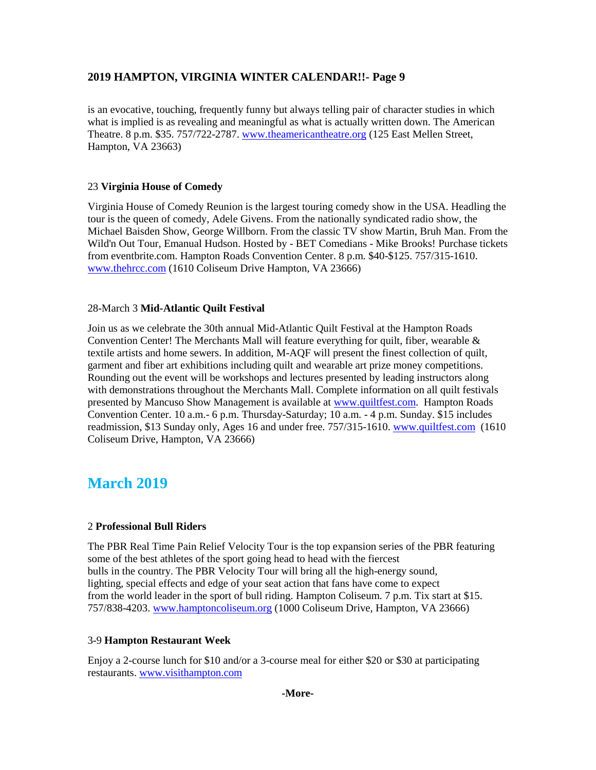is an evocative, touching, frequently funny but always telling pair of character studies in which what is implied is as revealing and meaningful as what is actually written down. The American Theatre. 8 p.m. \$35. 757/722-2787. [www.theamericantheatre.org](http://www.theamericantheatre.org/) (125 East Mellen Street, Hampton, VA 23663)

## 23 **Virginia House of Comedy**

Virginia House of Comedy Reunion is the largest touring comedy show in the USA. Headling the tour is the queen of comedy, Adele Givens. From the nationally syndicated radio show, the Michael Baisden Show, George Willborn. From the classic TV show Martin, Bruh Man. From the Wild'n Out Tour, Emanual Hudson. Hosted by - BET Comedians - Mike Brooks! Purchase tickets from eventbrite.com. Hampton Roads Convention Center. 8 p.m. \$40-\$125. 757/315-1610. [www.thehrcc.com](http://www.thehrcc.com/) (1610 Coliseum Drive Hampton, VA 23666)

## 28-March 3 **Mid-Atlantic Quilt Festival**

Join us as we celebrate the 30th annual Mid-Atlantic Quilt Festival at the Hampton Roads Convention Center! The Merchants Mall will feature everything for quilt, fiber, wearable  $\&$ textile artists and home sewers. In addition, M-AQF will present the finest collection of quilt, garment and fiber art exhibitions including quilt and wearable art prize money competitions. Rounding out the event will be workshops and lectures presented by leading instructors along with demonstrations throughout the Merchants Mall. Complete information on all quilt festivals presented by Mancuso Show Management is available at [www.quiltfest.com.](http://www.quiltfest.com/) Hampton Roads Convention Center. 10 a.m.- 6 p.m. Thursday-Saturday; 10 a.m. - 4 p.m. Sunday. \$15 includes readmission, \$13 Sunday only, Ages 16 and under free. 757/315-1610. [www.quiltfest.com](http://www.quiltfest.com/) (1610 Coliseum Drive, Hampton, VA 23666)

# **March 2019**

## 2 **Professional Bull Riders**

The PBR Real Time Pain Relief Velocity Tour is the top expansion series of the PBR featuring some of the best athletes of the sport going head to head with the fiercest bulls in the country. The PBR Velocity Tour will bring all the high-energy sound, lighting, special effects and edge of your seat action that fans have come to expect from the world leader in the sport of bull riding. Hampton Coliseum. 7 p.m. Tix start at \$15. 757/838-4203. [www.hamptoncoliseum.org](http://www.hamptoncoliseum.org/) (1000 Coliseum Drive, Hampton, VA 23666)

## 3-9 **Hampton Restaurant Week**

Enjoy a 2-course lunch for \$10 and/or a 3-course meal for either \$20 or \$30 at participating restaurants. [www.visithampton.com](http://www.visithampton.com/)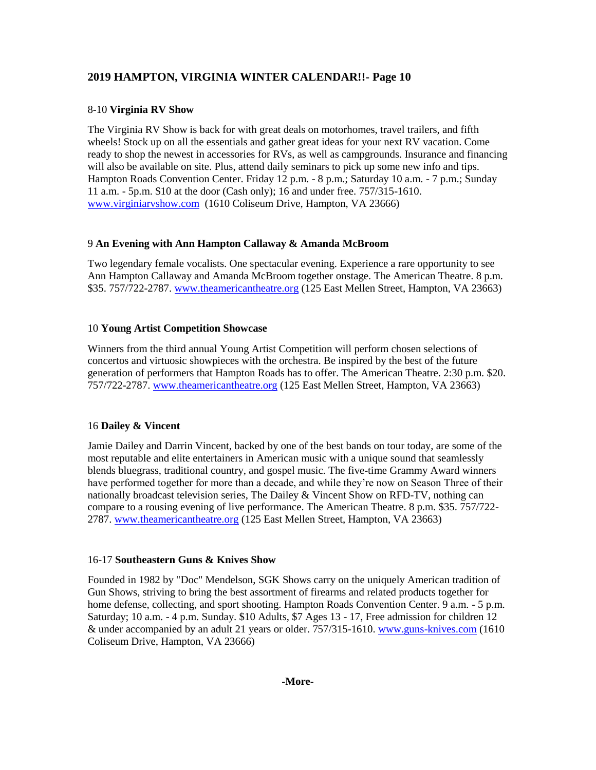### 8-10 **Virginia RV Show**

The Virginia RV Show is back for with great deals on motorhomes, travel trailers, and fifth wheels! Stock up on all the essentials and gather great ideas for your next RV vacation. Come ready to shop the newest in accessories for RVs, as well as campgrounds. Insurance and financing will also be available on site. Plus, attend daily seminars to pick up some new info and tips. Hampton Roads Convention Center. Friday 12 p.m. - 8 p.m.; Saturday 10 a.m. - 7 p.m.; Sunday 11 a.m. - 5p.m. \$10 at the door (Cash only); 16 and under free. 757/315-1610. [www.virginiarvshow.com](http://www.virginiarvshow.com/) (1610 Coliseum Drive, Hampton, VA 23666)

## 9 **An Evening with Ann Hampton Callaway & Amanda McBroom**

Two legendary female vocalists. One spectacular evening. Experience a rare opportunity to see Ann Hampton Callaway and Amanda McBroom together onstage. The American Theatre. 8 p.m. \$35. 757/722-2787. [www.theamericantheatre.org](http://www.theamericantheatre.org/) (125 East Mellen Street, Hampton, VA 23663)

#### 10 **Young Artist Competition Showcase**

Winners from the third annual Young Artist Competition will perform chosen selections of concertos and virtuosic showpieces with the orchestra. Be inspired by the best of the future generation of performers that Hampton Roads has to offer. The American Theatre. 2:30 p.m. \$20. 757/722-2787. [www.theamericantheatre.org](http://www.theamericantheatre.org/) (125 East Mellen Street, Hampton, VA 23663)

## 16 **Dailey & Vincent**

Jamie Dailey and Darrin Vincent, backed by one of the best bands on tour today, are some of the most reputable and elite entertainers in American music with a unique sound that seamlessly blends bluegrass, traditional country, and gospel music. The five-time Grammy Award winners have performed together for more than a decade, and while they're now on Season Three of their nationally broadcast television series, The Dailey & Vincent Show on RFD-TV, nothing can compare to a rousing evening of live performance. The American Theatre. 8 p.m. \$35. 757/722- 2787. [www.theamericantheatre.org](http://www.theamericantheatre.org/) (125 East Mellen Street, Hampton, VA 23663)

#### 16-17 **Southeastern Guns & Knives Show**

Founded in 1982 by "Doc" Mendelson, SGK Shows carry on the uniquely American tradition of Gun Shows, striving to bring the best assortment of firearms and related products together for home defense, collecting, and sport shooting. Hampton Roads Convention Center. 9 a.m. - 5 p.m. Saturday; 10 a.m. - 4 p.m. Sunday. \$10 Adults, \$7 Ages 13 - 17, Free admission for children 12 & under accompanied by an adult 21 years or older. 757/315-1610. [www.guns-knives.com](http://www.guns-knives.comn/) (1610 Coliseum Drive, Hampton, VA 23666)